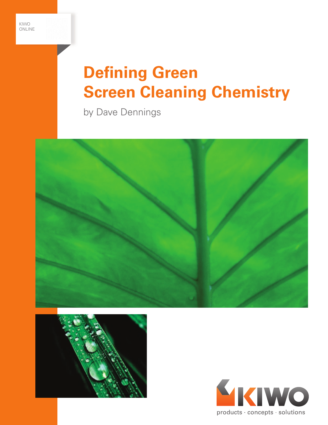



# **Defining Green Screen Cleaning Chemistry**

by Dave Dennings





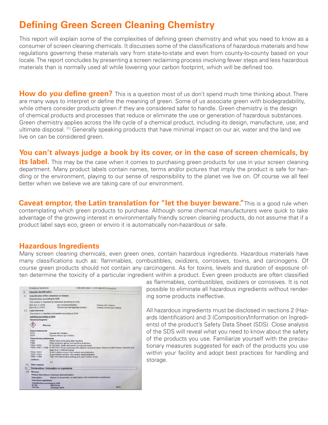## **Defining Green Screen Cleaning Chemistry**

This report will explain some of the complexities of defining green chemistry and what you need to know as a consumer of screen cleaning chemicals. It discusses some of the classifications of hazardous materials and how regulations governing these materials vary from state-to-state and even from county-to-county based on your locale. The report concludes by presenting a screen reclaiming process involving fewer steps and less hazardous materials than is normally used all while lowering your carbon footprint, which will be defined too.

**How do you define green?** This is a question most of us don't spend much time thinking about. There are many ways to interpret or define the meaning of green. Some of us associate green with biodegradability, while others consider products green if they are considered safer to handle. Green chemistry is the design of chemical products and processes that reduce or eliminate the use or generation of hazardous substances. Green chemistry applies across the life cycle of a chemical product, including its design, manufacture, use, and ultimate disposal. <sup>[1]</sup> Generally speaking products that have minimal impact on our air, water and the land we live on can be considered green.

### **You can't always judge a book by its cover, or in the case of screen chemicals, by**

**its label.** This may be the case when it comes to purchasing green products for use in your screen cleaning department. Many product labels contain names, terms and/or pictures that imply the product is safe for handling or the environment, playing to our sense of responsibility to the planet we live on. Of course we all feel better when we believe we are taking care of our environment.

**Caveat emptor, the Latin translation for "let the buyer beware."** This is a good rule when contemplating which green products to purchase. Although some chemical manufacturers were quick to take advantage of the growing interest in environmentally friendly screen cleaning products, do not assume that if a product label says eco, green or enviro it is automatically non-hazardous or safe.

### **Hazardous Ingredients**

Many screen cleaning chemicals, even green ones, contain hazardous ingredients. Hazardous materials have many classifications such as: flammables, combustibles, oxidizers, corrosives, toxins, and carcinogens. Of course green products should not contain any carcinogens. As for toxins, levels and duration of exposure often determine the toxicity of a particular ingredient within a product. Even green products are often classified

|      | Emergency telephone:                                                                                                  |                                                           | 1-800-255-3924 / +1 813-248-0573 (ChemTel) |
|------|-----------------------------------------------------------------------------------------------------------------------|-----------------------------------------------------------|--------------------------------------------|
| 2.   | <b>Hazards identification</b>                                                                                         |                                                           |                                            |
| 21   | Classification of the substance or mixture                                                                            |                                                           |                                            |
|      | <b>Classification according to GHS</b>                                                                                |                                                           |                                            |
|      | This mixture is classified as hazardous according to GHS                                                              |                                                           |                                            |
|      | Skin Irrit. 2 / H315                                                                                                  | skin corrosion/irritation                                 | Causes skin irritation.                    |
|      | Eye Irrit. 2 / H319                                                                                                   | Serious eve damage/eve irritation                         | Causes serious eye irritation.             |
| 2.2  | Label elements                                                                                                        |                                                           |                                            |
|      | The product is classified and labelled according to GHS.                                                              |                                                           |                                            |
|      | <b>Labelling according to GHS</b>                                                                                     |                                                           |                                            |
|      | <b>Hazard pictograms</b>                                                                                              |                                                           |                                            |
|      |                                                                                                                       |                                                           |                                            |
|      | Warning                                                                                                               |                                                           |                                            |
|      |                                                                                                                       |                                                           |                                            |
|      | <b>Hazard statements</b>                                                                                              |                                                           |                                            |
|      | H315<br>Causes skin irritation.<br>H319                                                                               |                                                           |                                            |
|      | Causes serious eve irritation.                                                                                        |                                                           |                                            |
|      | <b>Precautionary statements</b><br>P264                                                                               |                                                           |                                            |
|      | Wash hands thoroughly after handling.<br>P280                                                                         |                                                           |                                            |
|      | Wear protective gloves and eve/face protection.<br>$P302 + P352$<br>IF ON SKIN: Wash with plenty of soap and water.   |                                                           |                                            |
|      | P305 + P351 + P338 IF IN EYES: Rinse cautiously with water for several minutes. Remove contact lenses, if present and |                                                           |                                            |
|      | easy to do. Continue rinsing.                                                                                         |                                                           |                                            |
|      | $P332 + P313$<br>If skin irritation occurs: Get medical advice/attention.                                             |                                                           |                                            |
|      | $P337 + P313$                                                                                                         | If eye irritation persists: Get medical advice/attention. |                                            |
|      | $P362 + P364$<br>Take off contaminated clothing and wash it before reuse.                                             |                                                           |                                            |
|      | contains:                                                                                                             |                                                           |                                            |
|      |                                                                                                                       | n.a.                                                      |                                            |
| 2.3. | Other hazards                                                                                                         |                                                           |                                            |
| 3.   | <b>Composition / Information on ingredients</b>                                                                       |                                                           |                                            |
|      | 3.2. Mixtures                                                                                                         |                                                           |                                            |
|      | Product description / chemical characterization                                                                       |                                                           |                                            |
|      | Mixture of components, as listed below, with nonhazardous constituents<br><b>Description</b>                          |                                                           |                                            |
|      | <b>Hazardous ingredients</b>                                                                                          |                                                           |                                            |
|      | <b>Classification according to GHS</b>                                                                                |                                                           |                                            |
|      | EC No.<br><b>REACH No.</b>                                                                                            |                                                           |                                            |
|      | CAS No.                                                                                                               | <b>Chemical name</b>                                      | Wt %                                       |

as flammables, combustibles, oxidizers or corrosives. It is not possible to eliminate all hazardous ingredients without rendering some products ineffective.

All hazardous ingredients must be disclosed in sections 2 (Hazards Identification) and 3 (Composition/Information on Ingredients) of the product's Safety Data Sheet (SDS). Close analysis of the SDS will reveal what you need to know about the safety of the products you use. Familiarize yourself with the precautionary measures suggested for each of the products you use within your facility and adopt best practices for handling and storage.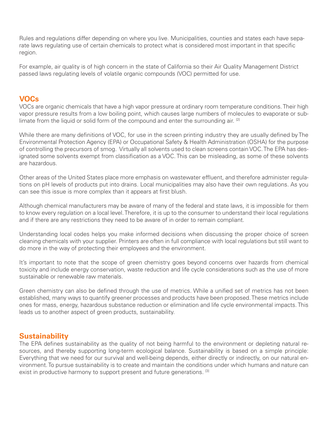Rules and regulations differ depending on where you live. Municipalities, counties and states each have separate laws regulating use of certain chemicals to protect what is considered most important in that specific region.

For example, air quality is of high concern in the state of California so their Air Quality Management District passed laws regulating levels of volatile organic compounds (VOC) permitted for use.

### **VOCs**

VOCs are organic chemicals that have a high vapor pressure at ordinary room temperature conditions. Their high vapor pressure results from a low boiling point, which causes large numbers of molecules to evaporate or sublimate from the liquid or solid form of the compound and enter the surrounding air. <sup>[2]</sup>

While there are many definitions of VOC, for use in the screen printing industry they are usually defined by The Environmental Protection Agency (EPA) or Occupational Safety & Health Administration (OSHA) for the purpose of controlling the precursors of smog. Virtually all solvents used to clean screens contain VOC. The EPA has designated some solvents exempt from classification as a VOC. This can be misleading, as some of these solvents are hazardous.

Other areas of the United States place more emphasis on wastewater effluent, and therefore administer regulations on pH levels of products put into drains. Local municipalities may also have their own regulations. As you can see this issue is more complex than it appears at first blush.

Although chemical manufacturers may be aware of many of the federal and state laws, it is impossible for them to know every regulation on a local level. Therefore, it is up to the consumer to understand their local regulations and if there are any restrictions they need to be aware of in order to remain compliant.

Understanding local codes helps you make informed decisions when discussing the proper choice of screen cleaning chemicals with your supplier. Printers are often in full compliance with local regulations but still want to do more in the way of protecting their employees and the environment.

It's important to note that the scope of green chemistry goes beyond concerns over hazards from chemical toxicity and include energy conservation, waste reduction and life cycle considerations such as the use of more sustainable or renewable raw materials.

Green chemistry can also be defined through the use of metrics. While a unified set of metrics has not been established, many ways to quantify greener processes and products have been proposed. These metrics include ones for mass, energy, hazardous substance reduction or elimination and life cycle environmental impacts. This leads us to another aspect of green products, sustainability.

### **Sustainability**

The EPA defines sustainability as the quality of not being harmful to the environment or depleting natural resources, and thereby supporting long-term ecological balance. Sustainability is based on a simple principle: Everything that we need for our survival and well-being depends, either directly or indirectly, on our natural environment. To pursue sustainability is to create and maintain the conditions under which humans and nature can exist in productive harmony to support present and future generations. [3]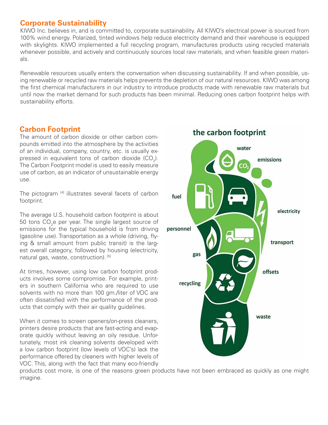### **Corporate Sustainability**

KIWO Inc. believes in, and is committed to, corporate sustainability. All KIWO's electrical power is sourced from 100% wind energy. Polarized, tinted windows help reduce electricity demand and their warehouse is equipped with skylights. KIWO implemented a full recycling program, manufactures products using recycled materials whenever possible, and actively and continuously sources local raw materials, and when feasible green materials.

Renewable resources usually enters the conversation when discussing sustainability. If and when possible, using renewable or recycled raw materials helps prevents the depletion of our natural resources. KIWO was among the first chemical manufacturers in our industry to introduce products made with renewable raw materials but until now the market demand for such products has been minimal. Reducing ones carbon footprint helps with sustainability efforts.

### **Carbon Footprint**

The amount of carbon dioxide or other carbon compounds emitted into the atmosphere by the activities of an individual, company, country, etc. is usually expressed in equivalent tons of carbon dioxide (CO<sub>2</sub>). The Carbon Footprint model is used to easily measure use of carbon, as an indicator of unsustainable energy use.

The pictogram [4] illustrates several facets of carbon footprint.

The average U.S. household carbon footprint is about 50 tons  $\mathsf{CO}_{2}$ e per year. The single largest source of emissions for the typical household is from driving (gasoline use). Transportation as a whole (driving, flying & small amount from public transit) is the largest overall category, followed by housing (electricity, natural gas, waste, construction). [5]

At times, however, using low carbon footprint products involves some compromise. For example, printers in southern California who are required to use solvents with no more than 100 gm./liter of VOC are often dissatisfied with the performance of the products that comply with their air quality guidelines.

When it comes to screen openers/on-press cleaners, printers desire products that are fast-acting and evaporate quickly without leaving an oily residue. Unfortunately, most ink cleaning solvents developed with a low carbon footprint (low levels of VOC's) lack the performance offered by cleaners with higher levels of VOC. This, along with the fact that many eco-friendly

water emissions fuel electricity personnel transport gas offsets recycling waste

the carbon footprint

products cost more, is one of the reasons green products have not been embraced as quickly as one might imagine.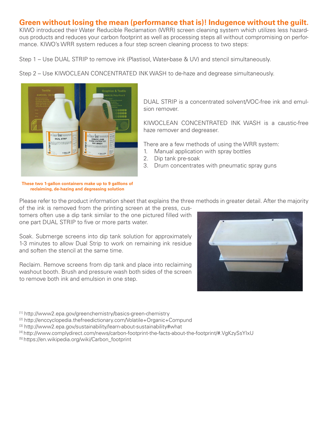### **Green without losing the mean (performance that is)! Indugence without the guilt.**

KIWO introduced their Water Reducible Reclamation (WRR) screen cleaning system which utilizes less hazardous products and reduces your carbon footprint as well as processing steps all without compromising on performance. KIWO's WRR system reduces a four step screen cleaning process to two steps:

Step 1 – Use DUAL STRIP to remove ink (Plastisol, Water-base & UV) and stencil simultaneously.

Step 2 – Use KIWOCLEAN CONCENTRATED INK WASH to de-haze and degrease simultaneously.



**These two 1-gallon containers make up to 9 galllons of reclaiming, de-hazing and degreasing solution**

DUAL STRIP is a concentrated solvent/VOC-free ink and emulsion remover.

KIWOCLEAN CONCENTRATED INK WASH is a caustic-free haze remover and degreaser.

There are a few methods of using the WRR system:

- 1. Manual application with spray bottles
- 2. Dip tank pre-soak
- 3. Drum concentrates with pneumatic spray guns

Please refer to the product information sheet that explains the three methods in greater detail. After the majority

of the ink is removed from the printing screen at the press, customers often use a dip tank similar to the one pictured filled with one part DUAL STRIP to five or more parts water.

Soak. Submerge screens into dip tank solution for approximately 1-3 minutes to allow Dual Strip to work on remaining ink residue and soften the stencil at the same time.

Reclaim. Remove screens from dip tank and place into reclaiming washout booth. Brush and pressure wash both sides of the screen to remove both ink and emulsion in one step.



- [1] http://www2.epa.gov/greenchemistry/basics-green-chemistry
- $[2]$  http://enccyclopedia.thefreedictionary.com/Volatile+Organic+Compund
- [3] http://www2.epa.gov/sustainability/learn-about-sustainability#what
- [4] http://www.complydirect.com/news/carbon-footprint-the-facts-about-the-footprint/#.VgKzySsYIxU
- [5] https://en.wikipedia.org/wiki/Carbon\_footprint